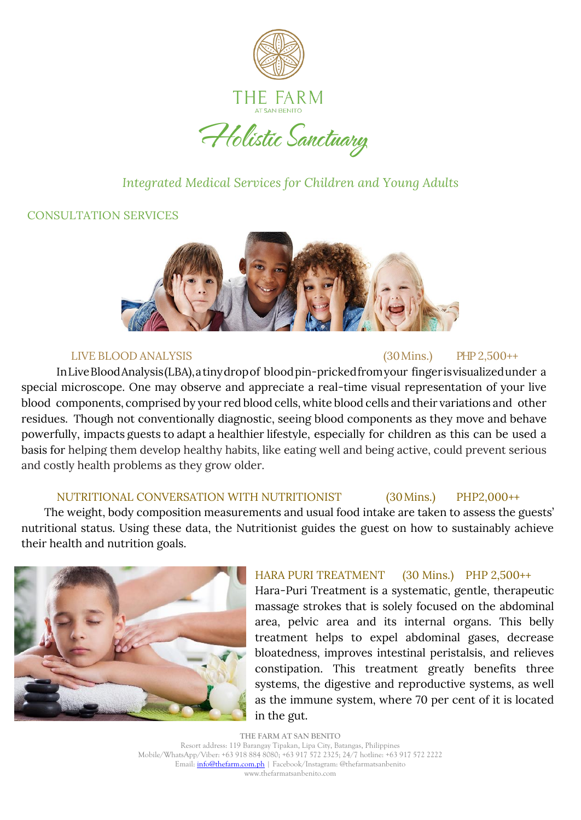

Holistic Sanctuary

# *Integrated Medical Services for Children and Young Adults*

## CONSULTATION SERVICES



### LIVE BLOOD ANALYSIS (30 Mins.) PHP 2,500++

InLiveBloodAnalysis(LBA),atinydropof bloodpin-prickedfromyour fingerisvisualizedunder a special microscope. One may observe and appreciate a real-time visual representation of your live blood components, comprised by your red blood cells, white blood cells and their variations and other residues. Though not conventionally diagnostic, seeing blood components as they move and behave powerfully, impacts guests to adapt a healthier lifestyle, especially for children as this can be used a basis for helping them develop healthy habits, like eating well and being active, could prevent serious and costly health problems as they grow older.

### NUTRITIONAL CONVERSATION WITH NUTRITIONIST (30 Mins.) PHP2,000++

The weight, body composition measurements and usual food intake are taken to assess the guests' nutritional status. Using these data, the Nutritionist guides the guest on how to sustainably achieve their health and nutrition goals.



### HARA PURI TREATMENT (30 Mins.) PHP 2,500++

Hara-Puri Treatment is a systematic, gentle, therapeutic massage strokes that is solely focused on the abdominal area, pelvic area and its internal organs. This belly treatment helps to expel abdominal gases, decrease bloatedness, improves intestinal peristalsis, and relieves constipation. This treatment greatly benefits three systems, the digestive and reproductive systems, as well as the immune system, where 70 per cent of it is located in the gut.

**THE FARM AT SAN BENITO** Resort address: 119 Barangay Tipakan, Lipa City, Batangas, Philippines Mobile/WhatsApp/Viber: +63 918 884 8080; +63 917 572 2325; 24/7 hotline: +63 917 572 2222 Email[: info@thefarm.com.ph](mailto:info@thefarm.com.ph) | Facebook/Instagram: @thefarmatsanbenito www.thefarmatsanbenito.com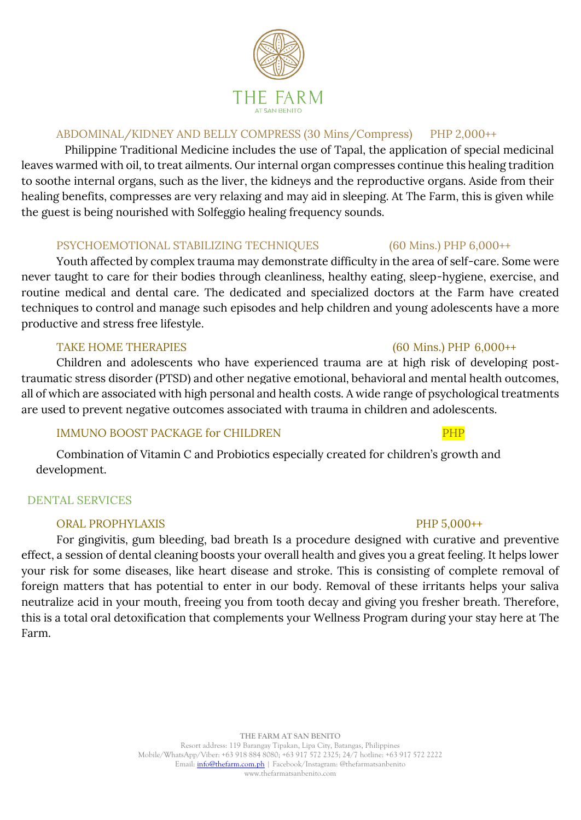### ABDOMINAL/KIDNEY AND BELLY COMPRESS (30 Mins/Compress) PHP 2,000++

Philippine Traditional Medicine includes the use of Tapal, the application of special medicinal leaves warmed with oil, to treat ailments. Our internal organ compresses continue this healing tradition to soothe internal organs, such as the liver, the kidneys and the reproductive organs. Aside from their healing benefits, compresses are very relaxing and may aid in sleeping. At The Farm, this is given while the guest is being nourished with Solfeggio healing frequency sounds.

## PSYCHOEMOTIONAL STABILIZING TECHNIQUES (60 Mins.) PHP 6,000++

Youth affected by complex trauma may demonstrate difficulty in the area of self-care. Some were never taught to care for their bodies through cleanliness, healthy eating, sleep-hygiene, exercise, and routine medical and dental care. The dedicated and specialized doctors at the Farm have created techniques to control and manage such episodes and help children and young adolescents have a more productive and stress free lifestyle.

## TAKE HOME THERAPIES (60 Mins.) PHP 6,000++

Children and adolescents who have experienced trauma are at high risk of developing post‐ traumatic stress disorder (PTSD) and other negative emotional, behavioral and mental health outcomes, all of which are associated with high personal and health costs. A wide range of psychological treatments are used to prevent negative outcomes associated with trauma in children and adolescents.

## IMMUNO BOOST PACKAGE for CHILDREN PHP

Combination of Vitamin C and Probiotics especially created for children's growth and development.

## DENTAL SERVICES

## ORAL PROPHYLAXIS **PHP 5,000++**

For gingivitis, gum bleeding, bad breath Is a procedure designed with curative and preventive effect, a session of dental cleaning boosts your overall health and gives you a great feeling. It helps lower your risk for some diseases, like heart disease and stroke. This is consisting of complete removal of foreign matters that has potential to enter in our body. Removal of these irritants helps your saliva neutralize acid in your mouth, freeing you from tooth decay and giving you fresher breath. Therefore, this is a total oral detoxification that complements your Wellness Program during your stay here at The Farm.

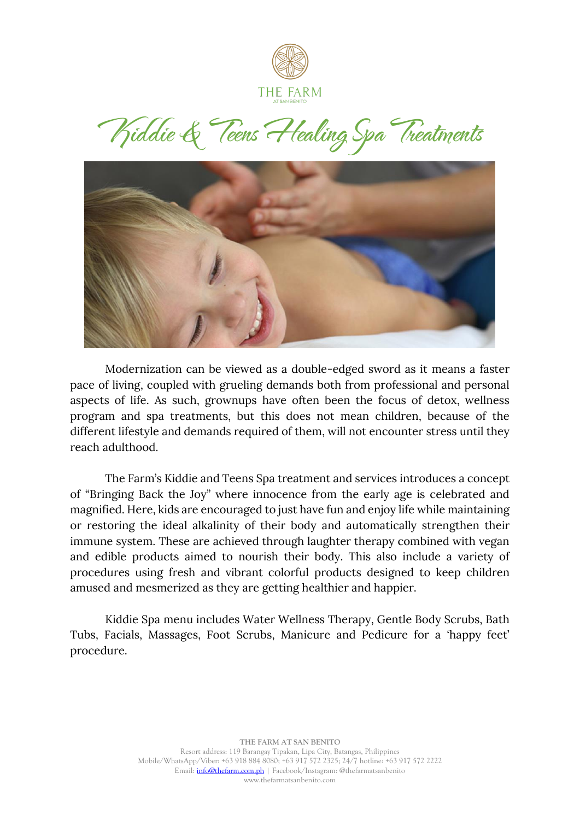

Kiddie & Teens Healing Spa Treatments



Modernization can be viewed as a double-edged sword as it means a faster pace of living, coupled with grueling demands both from professional and personal aspects of life. As such, grownups have often been the focus of detox, wellness program and spa treatments, but this does not mean children, because of the different lifestyle and demands required of them, will not encounter stress until they reach adulthood.

The Farm's Kiddie and Teens Spa treatment and services introduces a concept of "Bringing Back the Joy" where innocence from the early age is celebrated and magnified. Here, kids are encouraged to just have fun and enjoy life while maintaining or restoring the ideal alkalinity of their body and automatically strengthen their immune system. These are achieved through laughter therapy combined with vegan and edible products aimed to nourish their body. This also include a variety of procedures using fresh and vibrant colorful products designed to keep children amused and mesmerized as they are getting healthier and happier.

Kiddie Spa menu includes Water Wellness Therapy, Gentle Body Scrubs, Bath Tubs, Facials, Massages, Foot Scrubs, Manicure and Pedicure for a 'happy feet' procedure.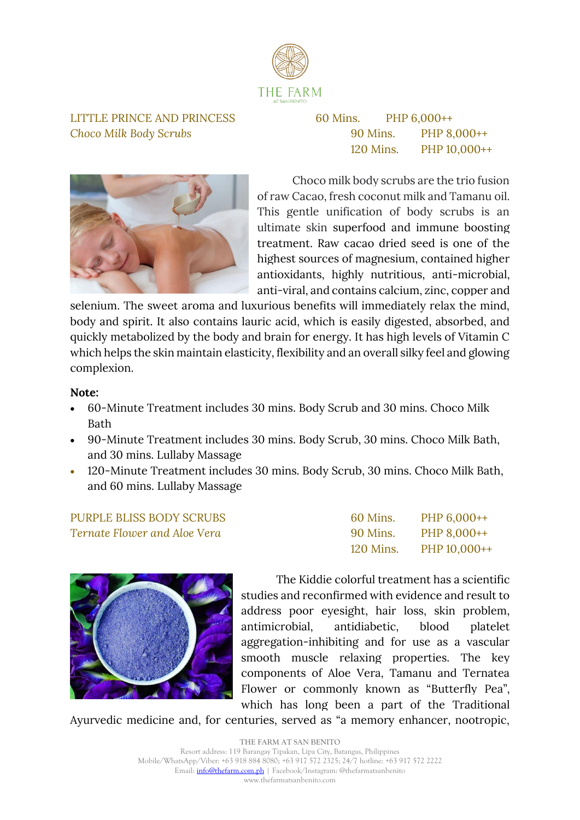

### LITTLE PRINCE AND PRINCESS *Choco Milk Body Scrubs*

| 60 Mins. |           | PHP 6,000++  |
|----------|-----------|--------------|
|          | 90 Mins.  | PHP 8,000++  |
|          | 120 Mins. | PHP 10,000++ |



Choco milk body scrubs are the trio fusion of raw Cacao, fresh coconut milk and Tamanu oil. This gentle unification of body scrubs is an ultimate skin superfood and immune boosting treatment. Raw cacao dried seed is one of the highest sources of magnesium, contained higher antioxidants, highly nutritious, anti-microbial, anti-viral, and contains calcium, zinc, copper and

selenium. The sweet aroma and luxurious benefits will immediately relax the mind, body and spirit. It also contains lauric acid, which is easily digested, absorbed, and quickly metabolized by the body and brain for energy. It has high levels of Vitamin C which helps the skin maintain elasticity, flexibility and an overall silky feel and glowing complexion.

### **Note:**

- 60-Minute Treatment includes 30 mins. Body Scrub and 30 mins. Choco Milk **Bath**
- 90-Minute Treatment includes 30 mins. Body Scrub, 30 mins. Choco Milk Bath, and 30 mins. Lullaby Massage
- 120-Minute Treatment includes 30 mins. Body Scrub, 30 mins. Choco Milk Bath, and 60 mins. Lullaby Massage

PURPLE BLISS BODY SCRUBS 60 Mins. PHP 6,000++ **Ternate Flower and Aloe Vera** 90 Mins. PHP 8,000++ 120 Mins. PHP 10,000++



The Kiddie colorful treatment has a scientific studies and reconfirmed with evidence and result to address poor eyesight, hair loss, skin problem, antimicrobial, antidiabetic, blood platelet aggregation-inhibiting and for use as a vascular smooth muscle relaxing properties. The key components of Aloe Vera, Tamanu and Ternatea Flower or commonly known as "Butterfly Pea", which has long been a part of the Traditional

Ayurvedic medicine and, for centuries, served as "a memory enhancer, nootropic,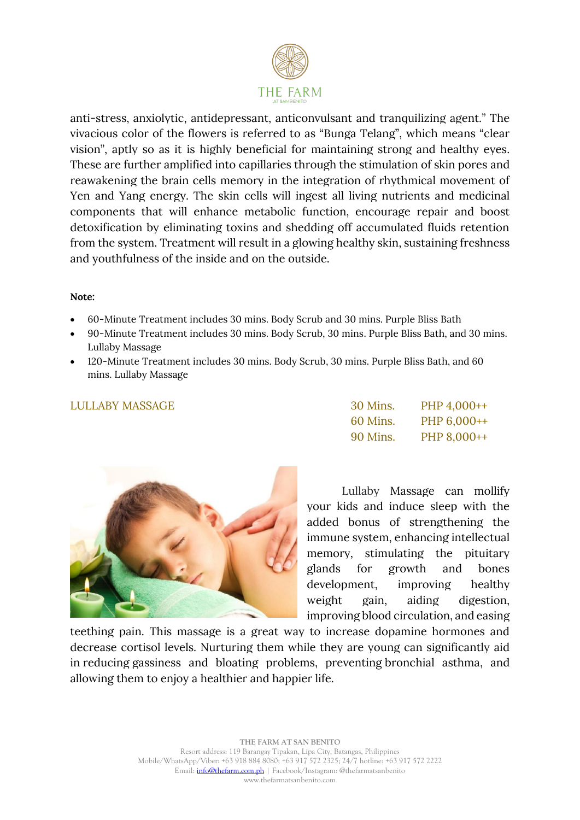

anti-stress, anxiolytic, antidepressant, anticonvulsant and tranquilizing agent." The vivacious color of the flowers is referred to as "Bunga Telang", which means "clear vision", aptly so as it is highly beneficial for maintaining strong and healthy eyes. These are further amplified into capillaries through the stimulation of skin pores and reawakening the brain cells memory in the integration of rhythmical movement of Yen and Yang energy. The skin cells will ingest all living nutrients and medicinal components that will enhance metabolic function, encourage repair and boost detoxification by eliminating toxins and shedding off accumulated fluids retention from the system. Treatment will result in a glowing healthy skin, sustaining freshness and youthfulness of the inside and on the outside.

### **Note:**

- 60-Minute Treatment includes 30 mins. Body Scrub and 30 mins. Purple Bliss Bath
- 90-Minute Treatment includes 30 mins. Body Scrub, 30 mins. Purple Bliss Bath, and 30 mins. Lullaby Massage
- 120-Minute Treatment includes 30 mins. Body Scrub, 30 mins. Purple Bliss Bath, and 60 mins. Lullaby Massage

### LULLABY MASSAGE 30 Mins. PHP 4,000++





Lullaby Massage can mollify your kids and induce sleep with the added bonus of strengthening the immune system, enhancing intellectual memory, stimulating the pituitary glands for growth and bones development, improving healthy weight gain, aiding digestion, improving blood circulation, and easing

teething pain. This massage is a great way to increase dopamine hormones and decrease cortisol levels. Nurturing them while they are young can significantly aid in reducing gassiness and bloating problems, preventing bronchial asthma, and allowing them to enjoy a healthier and happier life.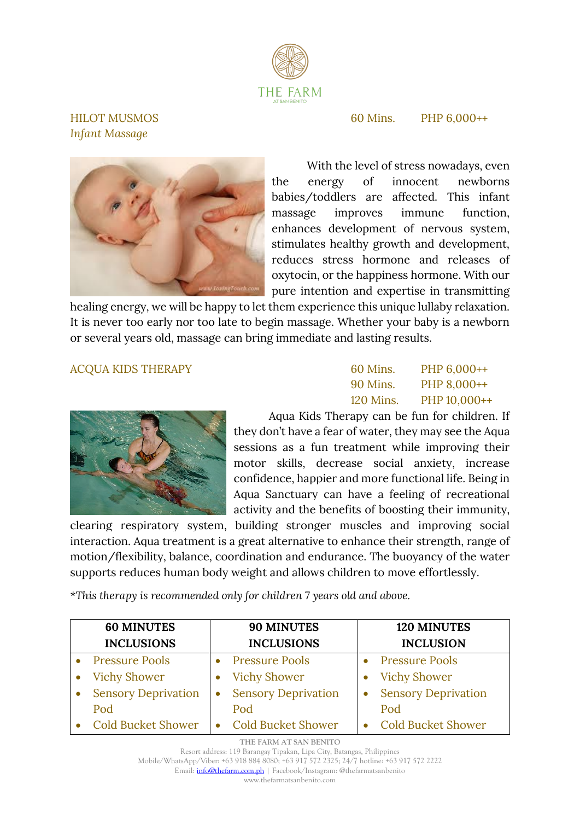

*Infant Massage*

HILOT MUSMOS 60 Mins. PHP 6,000++



With the level of stress nowadays, even the energy of innocent newborns babies/toddlers are affected. This infant massage improves immune function, enhances development of nervous system, stimulates healthy growth and development, reduces stress hormone and releases of oxytocin, or the happiness hormone. With our pure intention and expertise in transmitting

healing energy, we will be happy to let them experience this unique lullaby relaxation. It is never too early nor too late to begin massage. Whether your baby is a newborn or several years old, massage can bring immediate and lasting results.

### **ACOUA KIDS THERAPY**

| 60 Mins.  | PHP 6,000++  |
|-----------|--------------|
| 90 Mins.  | PHP 8,000++  |
| 120 Mins. | PHP 10,000++ |



Aqua Kids Therapy can be fun for children. If they don't have a fear of water, they may see the Aqua sessions as a fun treatment while improving their motor skills, decrease social anxiety, increase confidence, happier and more functional life. Being in Aqua Sanctuary can have a feeling of recreational activity and the benefits of boosting their immunity,

clearing respiratory system, building stronger muscles and improving social interaction. Aqua treatment is a great alternative to enhance their strength, range of motion/flexibility, balance, coordination and endurance. The buoyancy of the water supports reduces human body weight and allows children to move effortlessly.

*\*This therapy is recommended only for children 7 years old and above.*

| <b>60 MINUTES</b>          | 90 MINUTES                 | <b>120 MINUTES</b>         |
|----------------------------|----------------------------|----------------------------|
| <b>INCLUSIONS</b>          | <b>INCLUSIONS</b>          | <b>INCLUSION</b>           |
| <b>Pressure Pools</b>      | <b>Pressure Pools</b>      | <b>Pressure Pools</b>      |
| <b>Vichy Shower</b>        | <b>Vichy Shower</b>        | <b>Vichy Shower</b>        |
| <b>Sensory Deprivation</b> | <b>Sensory Deprivation</b> | <b>Sensory Deprivation</b> |
| Pod                        | Pod                        | Pod                        |
| <b>Cold Bucket Shower</b>  | <b>Cold Bucket Shower</b>  | <b>Cold Bucket Shower</b>  |

**THE FARM AT SAN BENITO**

Resort address: 119 Barangay Tipakan, Lipa City, Batangas, Philippines Mobile/WhatsApp/Viber: +63 918 884 8080; +63 917 572 2325; 24/7 hotline: +63 917 572 2222 Email: [info@thefarm.com.ph](mailto:info@thefarm.com.ph) | Facebook/Instagram: @thefarmatsanbenito www.thefarmatsanbenito.com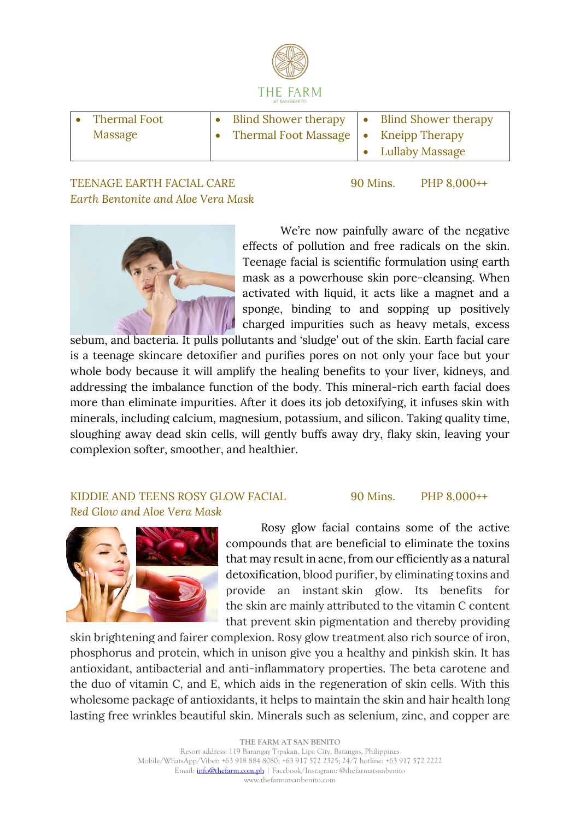

| Thermal Foot | $\bullet$ Blind Shower therapy $\bullet$ Blind Shower therapy |                   |
|--------------|---------------------------------------------------------------|-------------------|
| Massage      | • Thermal Foot Massage   • Kneipp Therapy                     |                   |
|              |                                                               | • Lullaby Massage |

## TEENAGE EARTH FACIAL CARE 90 Mins. PHP 8,000++ *Earth Bentonite and Aloe Vera Mask*



We're now painfully aware of the negative effects of pollution and free radicals on the skin. Teenage facial is scientific formulation using earth mask as a powerhouse skin pore-cleansing. When activated with liquid, it acts like a magnet and a sponge, binding to and sopping up positively charged impurities such as heavy metals, excess

sebum, and bacteria. It pulls pollutants and 'sludge' out of the skin. Earth facial care is a teenage skincare detoxifier and purifies pores on not only your face but your whole body because it will amplify the healing benefits to your liver, kidneys, and addressing the imbalance function of the body. This mineral-rich earth facial does more than eliminate impurities. After it does its job detoxifying, it infuses skin with minerals, including calcium, magnesium, potassium, and silicon. Taking quality time, sloughing away dead skin cells, will gently buffs away dry, flaky skin, leaving your complexion softer, smoother, and healthier.

## KIDDIE AND TEENS ROSY GLOW FACIAL 90 Mins. PHP 8,000++ *Red Glow and Aloe Vera Mask*



Rosy glow facial contains some of the active compounds that are beneficial to eliminate the toxins that may result in acne, from our efficiently as a natural detoxification, blood purifier, by eliminating toxins and provide an instant skin glow. Its benefits for the skin are mainly attributed to the vitamin C content that prevent skin pigmentation and thereby providing

skin brightening and fairer complexion. Rosy glow treatment also rich source of iron, phosphorus and protein, which in unison give you a healthy and pinkish skin. It has antioxidant, antibacterial and anti-inflammatory properties. The beta carotene and the duo of vitamin C, and E, which aids in the regeneration of skin cells. With this wholesome package of antioxidants, it helps to maintain the skin and hair health long lasting free wrinkles beautiful skin. Minerals such as selenium, zinc, and copper are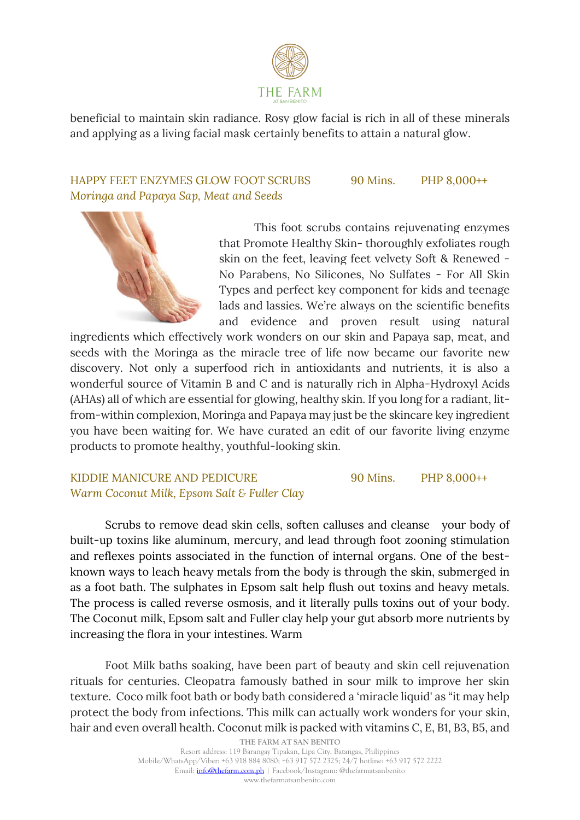

beneficial to maintain skin radiance. Rosy glow facial is rich in all of these minerals and applying as a living facial mask certainly benefits to attain a natural glow.

## HAPPY FEET ENZYMES GLOW FOOT SCRUBS 90 Mins. PHP 8,000++ *Moringa and Papaya Sap, Meat and Seeds*



This foot scrubs contains rejuvenating enzymes that Promote Healthy Skin- thoroughly exfoliates rough skin on the feet, leaving feet velvety Soft & Renewed - No Parabens, No Silicones, No Sulfates - For All Skin Types and perfect key component for kids and teenage lads and lassies. We're always on the scientific benefits and evidence and proven result using natural

ingredients which effectively work wonders on our skin and Papaya sap, meat, and seeds with the Moringa as the miracle tree of life now became our favorite new discovery. Not only a superfood rich in antioxidants and nutrients, it is also a wonderful source of Vitamin B and C and is naturally rich in Alpha-Hydroxyl Acids (AHAs) all of which are essential for glowing, healthy skin. If you long for a radiant, litfrom-within complexion, Moringa and Papaya may just be the skincare key ingredient you have been waiting for. We have curated an edit of our favorite living enzyme products to promote healthy, youthful-looking skin.

## KIDDIE MANICURE AND PEDICURE 90 Mins. PHP 8,000++ *Warm Coconut Milk, Epsom Salt & Fuller Clay*

Scrubs to remove dead skin cells, soften calluses and cleanse your body of built-up toxins like aluminum, mercury, and lead through foot zooning stimulation and reflexes points associated in the function of internal organs. One of the bestknown ways to leach heavy metals from the body is through the skin, submerged in as a foot bath. The sulphates in Epsom salt help flush out toxins and heavy metals. The process is called reverse osmosis, and it literally pulls toxins out of your body. The Coconut milk, Epsom salt and Fuller clay help your gut absorb more nutrients by increasing the flora in your intestines. Warm

Foot Milk baths soaking, have been part of beauty and skin cell rejuvenation rituals for centuries. Cleopatra famously bathed in sour milk to improve her skin texture. Coco milk foot bath or body bath considered a 'miracle liquid' as "it may help protect the body from infections. This milk can actually work wonders for your skin, hair and even overall health. Coconut milk is packed with vitamins C, E, B1, B3, B5, and